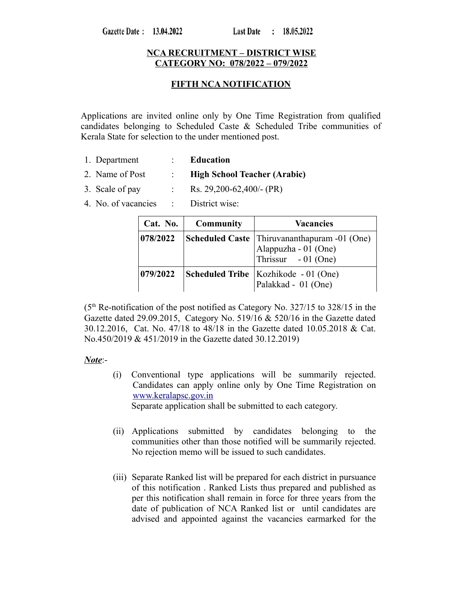### **NCA RECRUITMENT – DISTRICT WISE CATEGORY NO: 078/2022 – 079/2022**

### **FIFTH NCA NOTIFICATION**

Applications are invited online only by One Time Registration from qualified candidates belonging to Scheduled Caste & Scheduled Tribe communities of Kerala State for selection to the under mentioned post.

- 1. Department : **Education**
- 2. Name of Post : **High School Teacher (Arabic)**
- 3. Scale of pay : Rs. 29,200-62,400/- (PR)
- 4. No. of vacancies : District wise:

| Cat. No. | <b>Community</b> | <b>Vacancies</b>                                                                                   |
|----------|------------------|----------------------------------------------------------------------------------------------------|
| 078/2022 |                  | <b>Scheduled Caste</b> Thiruvananthapuram -01 (One)<br>Alappuzha - 01 (One)<br>Thrissur - 01 (One) |
| 079/2022 |                  | Scheduled Tribe   Kozhikode - 01 (One)<br>Palakkad - 01 (One)                                      |

 $(5<sup>th</sup>$  Re-notification of the post notified as Category No. 327/15 to 328/15 in the Gazette dated 29.09.2015, Category No. 519/16 & 520/16 in the Gazette dated 30.12.2016, Cat. No. 47/18 to 48/18 in the Gazette dated 10.05.2018 & Cat. No.450/2019 & 451/2019 in the Gazette dated 30.12.2019)

#### *Note*:-

(i) Conventional type applications will be summarily rejected. Candidates can apply online only by One Time Registration on [www.keralapsc.gov.in](http://www.keralapsc.gov.in/)

Separate application shall be submitted to each category.

- (ii) Applications submitted by candidates belonging to the communities other than those notified will be summarily rejected. No rejection memo will be issued to such candidates.
- (iii) Separate Ranked list will be prepared for each district in pursuance of this notification . Ranked Lists thus prepared and published as per this notification shall remain in force for three years from the date of publication of NCA Ranked list or until candidates are advised and appointed against the vacancies earmarked for the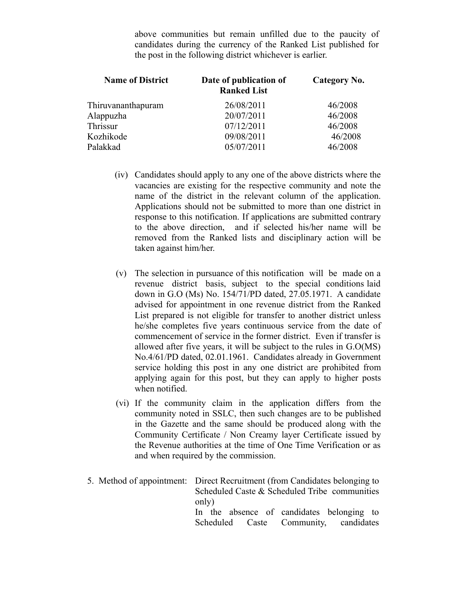above communities but remain unfilled due to the paucity of candidates during the currency of the Ranked List published for the post in the following district whichever is earlier.

| Date of publication of<br><b>Ranked List</b> | Category No. |
|----------------------------------------------|--------------|
| 26/08/2011                                   | 46/2008      |
| 20/07/2011                                   | 46/2008      |
| 07/12/2011                                   | 46/2008      |
| 09/08/2011                                   | 46/2008      |
| 05/07/2011                                   | 46/2008      |
|                                              |              |

- (iv) Candidates should apply to any one of the above districts where the vacancies are existing for the respective community and note the name of the district in the relevant column of the application. Applications should not be submitted to more than one district in response to this notification. If applications are submitted contrary to the above direction, and if selected his/her name will be removed from the Ranked lists and disciplinary action will be taken against him/her.
- (v) The selection in pursuance of this notification will be made on a revenue district basis, subject to the special conditions laid down in G.O (Ms) No. 154/71/PD dated, 27.05.1971. A candidate advised for appointment in one revenue district from the Ranked List prepared is not eligible for transfer to another district unless he/she completes five years continuous service from the date of commencement of service in the former district. Even if transfer is allowed after five years, it will be subject to the rules in G.O(MS) No.4/61/PD dated, 02.01.1961. Candidates already in Government service holding this post in any one district are prohibited from applying again for this post, but they can apply to higher posts when notified.
- (vi) If the community claim in the application differs from the community noted in SSLC, then such changes are to be published in the Gazette and the same should be produced along with the Community Certificate / Non Creamy layer Certificate issued by the Revenue authorities at the time of One Time Verification or as and when required by the commission.
- 5. Method of appointment: Direct Recruitment (from Candidates belonging to Scheduled Caste & Scheduled Tribe communities only) In the absence of candidates belonging to Scheduled Caste Community, candidates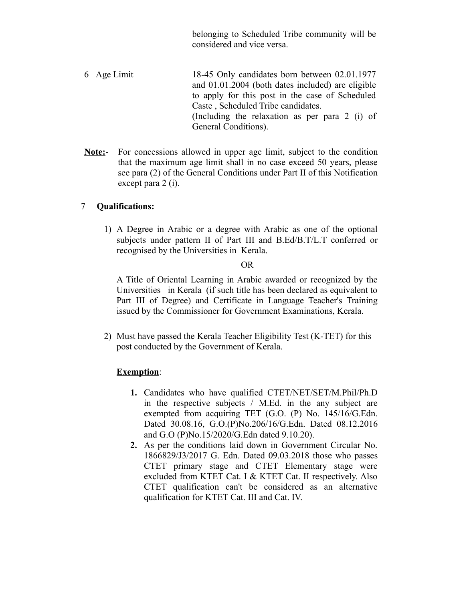belonging to Scheduled Tribe community will be considered and vice versa.

- 6 Age Limit 18-45 Only candidates born between 02.01.1977 and 01.01.2004 (both dates included) are eligible to apply for this post in the case of Scheduled Caste , Scheduled Tribe candidates. (Including the relaxation as per para 2 (i) of General Conditions).
- **Note:** For concessions allowed in upper age limit, subject to the condition that the maximum age limit shall in no case exceed 50 years, please see para (2) of the General Conditions under Part II of this Notification except para 2 (i).

# 7 **Qualifications:**

1) A Degree in Arabic or a degree with Arabic as one of the optional subjects under pattern II of Part III and B.Ed/B.T/L.T conferred or recognised by the Universities in Kerala.

#### OR

A Title of Oriental Learning in Arabic awarded or recognized by the Universities in Kerala (if such title has been declared as equivalent to Part III of Degree) and Certificate in Language Teacher's Training issued by the Commissioner for Government Examinations, Kerala.

2) Must have passed the Kerala Teacher Eligibility Test (K-TET) for this post conducted by the Government of Kerala.

#### **Exemption**:

- **1.** Candidates who have qualified CTET/NET/SET/M.Phil/Ph.D in the respective subjects / M.Ed. in the any subject are exempted from acquiring TET (G.O. (P) No. 145/16/G.Edn. Dated 30.08.16, G.O.(P)No.206/16/G.Edn. Dated 08.12.2016 and G.O (P)No.15/2020/G.Edn dated 9.10.20).
- **2.** As per the conditions laid down in Government Circular No. 1866829/J3/2017 G. Edn. Dated 09.03.2018 those who passes CTET primary stage and CTET Elementary stage were excluded from KTET Cat. I & KTET Cat. II respectively. Also CTET qualification can't be considered as an alternative qualification for KTET Cat. III and Cat. IV.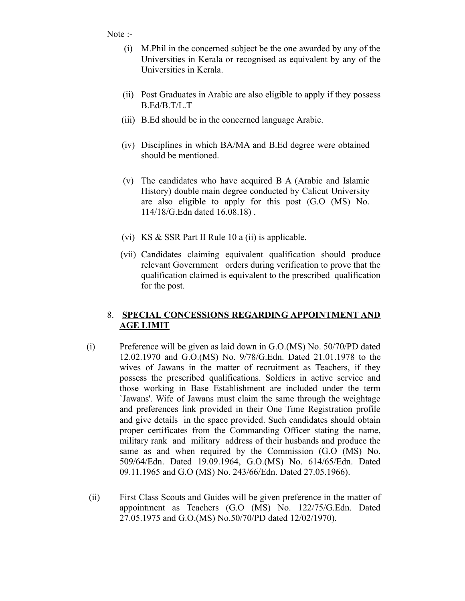Note :-

- (i) M.Phil in the concerned subject be the one awarded by any of the Universities in Kerala or recognised as equivalent by any of the Universities in Kerala.
- (ii) Post Graduates in Arabic are also eligible to apply if they possess B.Ed/B.T/L.T
- (iii) B.Ed should be in the concerned language Arabic.
- (iv) Disciplines in which BA/MA and B.Ed degree were obtained should be mentioned.
- (v) The candidates who have acquired B A (Arabic and Islamic History) double main degree conducted by Calicut University are also eligible to apply for this post (G.O (MS) No. 114/18/G.Edn dated 16.08.18) .
- (vi) KS & SSR Part II Rule 10 a (ii) is applicable.
- (vii) Candidates claiming equivalent qualification should produce relevant Government orders during verification to prove that the qualification claimed is equivalent to the prescribed qualification for the post.

# 8. **SPECIAL CONCESSIONS REGARDING APPOINTMENT AND AGE LIMIT**

- (i) Preference will be given as laid down in G.O.(MS) No. 50/70/PD dated 12.02.1970 and G.O.(MS) No. 9/78/G.Edn. Dated 21.01.1978 to the wives of Jawans in the matter of recruitment as Teachers, if they possess the prescribed qualifications. Soldiers in active service and those working in Base Establishment are included under the term `Jawans'. Wife of Jawans must claim the same through the weightage and preferences link provided in their One Time Registration profile and give details in the space provided. Such candidates should obtain proper certificates from the Commanding Officer stating the name, military rank and military address of their husbands and produce the same as and when required by the Commission (G.O (MS) No. 509/64/Edn. Dated 19.09.1964, G.O.(MS) No. 614/65/Edn. Dated 09.11.1965 and G.O (MS) No. 243/66/Edn. Dated 27.05.1966).
- (ii) First Class Scouts and Guides will be given preference in the matter of appointment as Teachers (G.O (MS) No. 122/75/G.Edn. Dated 27.05.1975 and G.O.(MS) No.50/70/PD dated 12/02/1970).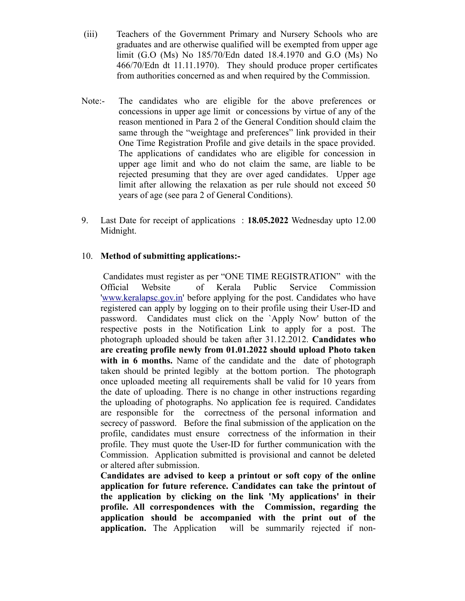- (iii) Teachers of the Government Primary and Nursery Schools who are graduates and are otherwise qualified will be exempted from upper age limit (G.O (Ms) No 185/70/Edn dated 18.4.1970 and G.O (Ms) No 466/70/Edn dt 11.11.1970). They should produce proper certificates from authorities concerned as and when required by the Commission.
- Note:- The candidates who are eligible for the above preferences or concessions in upper age limit or concessions by virtue of any of the reason mentioned in Para 2 of the General Condition should claim the same through the "weightage and preferences" link provided in their One Time Registration Profile and give details in the space provided. The applications of candidates who are eligible for concession in upper age limit and who do not claim the same, are liable to be rejected presuming that they are over aged candidates. Upper age limit after allowing the relaxation as per rule should not exceed 50 years of age (see para 2 of General Conditions).
- 9. Last Date for receipt of applications : **18.05.2022** Wednesday upto 12.00 Midnight.

#### 10. **Method of submitting applications:-**

 Candidates must register as per "ONE TIME REGISTRATION" with the Official Website of Kerala Public Service Commission ['www.keralapsc.gov.in](http://www.keralapsc.gov.in/)' before applying for the post. Candidates who have registered can apply by logging on to their profile using their User-ID and password. Candidates must click on the `Apply Now' button of the respective posts in the Notification Link to apply for a post. The photograph uploaded should be taken after 31.12.2012. **Candidates who are creating profile newly from 01.01.2022 should upload Photo taken** with in 6 months. Name of the candidate and the date of photograph taken should be printed legibly at the bottom portion. The photograph once uploaded meeting all requirements shall be valid for 10 years from the date of uploading. There is no change in other instructions regarding the uploading of photographs. No application fee is required. Candidates are responsible for the correctness of the personal information and secrecy of password. Before the final submission of the application on the profile, candidates must ensure correctness of the information in their profile. They must quote the User-ID for further communication with the Commission. Application submitted is provisional and cannot be deleted or altered after submission.

**Candidates are advised to keep a printout or soft copy of the online application for future reference. Candidates can take the printout of the application by clicking on the link 'My applications' in their profile. All correspondences with the Commission, regarding the application should be accompanied with the print out of the application.** The Application will be summarily rejected if non